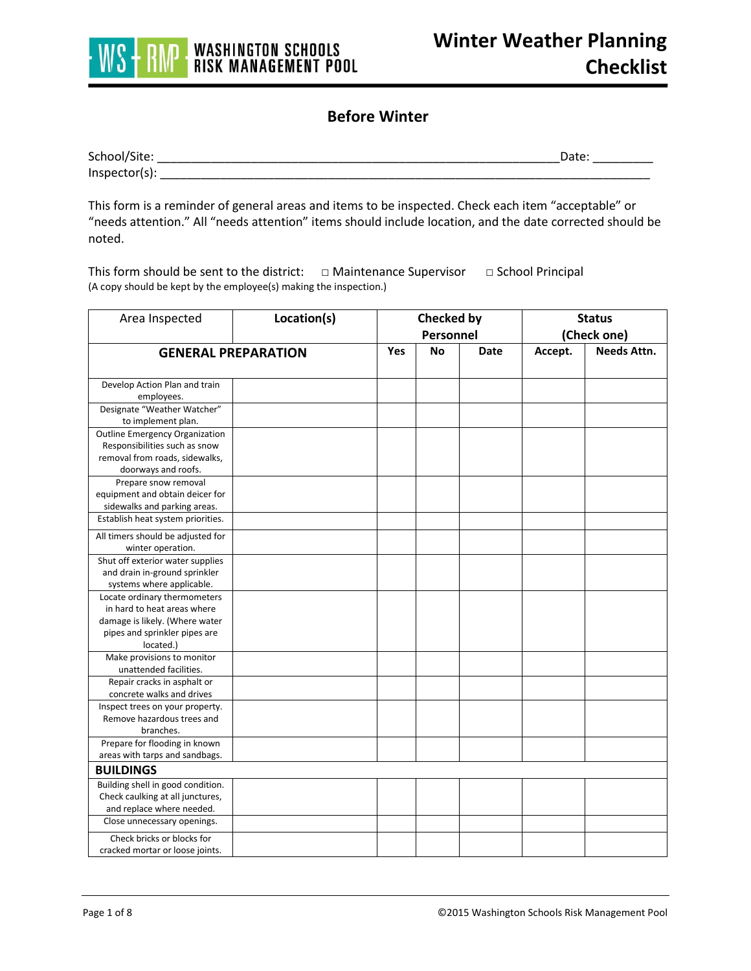

## **Before Winter**

| School/Site:     | )ate |
|------------------|------|
| $Inspector(s)$ : |      |

This form is a reminder of general areas and items to be inspected. Check each item "acceptable" or "needs attention." All "needs attention" items should include location, and the date corrected should be noted.

This form should be sent to the district: □ Maintenance Supervisor □ School Principal (A copy should be kept by the employee(s) making the inspection.)

| Area Inspected                                                    | Location(s) |     | <b>Checked by</b><br>Personnel |             | <b>Status</b><br>(Check one) |                    |  |
|-------------------------------------------------------------------|-------------|-----|--------------------------------|-------------|------------------------------|--------------------|--|
| <b>GENERAL PREPARATION</b>                                        |             | Yes | <b>No</b>                      | <b>Date</b> | Accept.                      | <b>Needs Attn.</b> |  |
|                                                                   |             |     |                                |             |                              |                    |  |
| Develop Action Plan and train                                     |             |     |                                |             |                              |                    |  |
| employees.                                                        |             |     |                                |             |                              |                    |  |
| Designate "Weather Watcher"                                       |             |     |                                |             |                              |                    |  |
| to implement plan.                                                |             |     |                                |             |                              |                    |  |
| <b>Outline Emergency Organization</b>                             |             |     |                                |             |                              |                    |  |
| Responsibilities such as snow                                     |             |     |                                |             |                              |                    |  |
| removal from roads, sidewalks,                                    |             |     |                                |             |                              |                    |  |
| doorways and roofs.                                               |             |     |                                |             |                              |                    |  |
| Prepare snow removal                                              |             |     |                                |             |                              |                    |  |
| equipment and obtain deicer for                                   |             |     |                                |             |                              |                    |  |
| sidewalks and parking areas.<br>Establish heat system priorities. |             |     |                                |             |                              |                    |  |
|                                                                   |             |     |                                |             |                              |                    |  |
| All timers should be adjusted for                                 |             |     |                                |             |                              |                    |  |
| winter operation.                                                 |             |     |                                |             |                              |                    |  |
| Shut off exterior water supplies                                  |             |     |                                |             |                              |                    |  |
| and drain in-ground sprinkler                                     |             |     |                                |             |                              |                    |  |
| systems where applicable.<br>Locate ordinary thermometers         |             |     |                                |             |                              |                    |  |
| in hard to heat areas where                                       |             |     |                                |             |                              |                    |  |
| damage is likely. (Where water                                    |             |     |                                |             |                              |                    |  |
| pipes and sprinkler pipes are                                     |             |     |                                |             |                              |                    |  |
| located.)                                                         |             |     |                                |             |                              |                    |  |
| Make provisions to monitor                                        |             |     |                                |             |                              |                    |  |
| unattended facilities.                                            |             |     |                                |             |                              |                    |  |
| Repair cracks in asphalt or                                       |             |     |                                |             |                              |                    |  |
| concrete walks and drives                                         |             |     |                                |             |                              |                    |  |
| Inspect trees on your property.                                   |             |     |                                |             |                              |                    |  |
| Remove hazardous trees and                                        |             |     |                                |             |                              |                    |  |
| branches.                                                         |             |     |                                |             |                              |                    |  |
| Prepare for flooding in known                                     |             |     |                                |             |                              |                    |  |
| areas with tarps and sandbags.                                    |             |     |                                |             |                              |                    |  |
| <b>BUILDINGS</b>                                                  |             |     |                                |             |                              |                    |  |
| Building shell in good condition.                                 |             |     |                                |             |                              |                    |  |
| Check caulking at all junctures,                                  |             |     |                                |             |                              |                    |  |
| and replace where needed.                                         |             |     |                                |             |                              |                    |  |
| Close unnecessary openings.                                       |             |     |                                |             |                              |                    |  |
| Check bricks or blocks for                                        |             |     |                                |             |                              |                    |  |
| cracked mortar or loose joints.                                   |             |     |                                |             |                              |                    |  |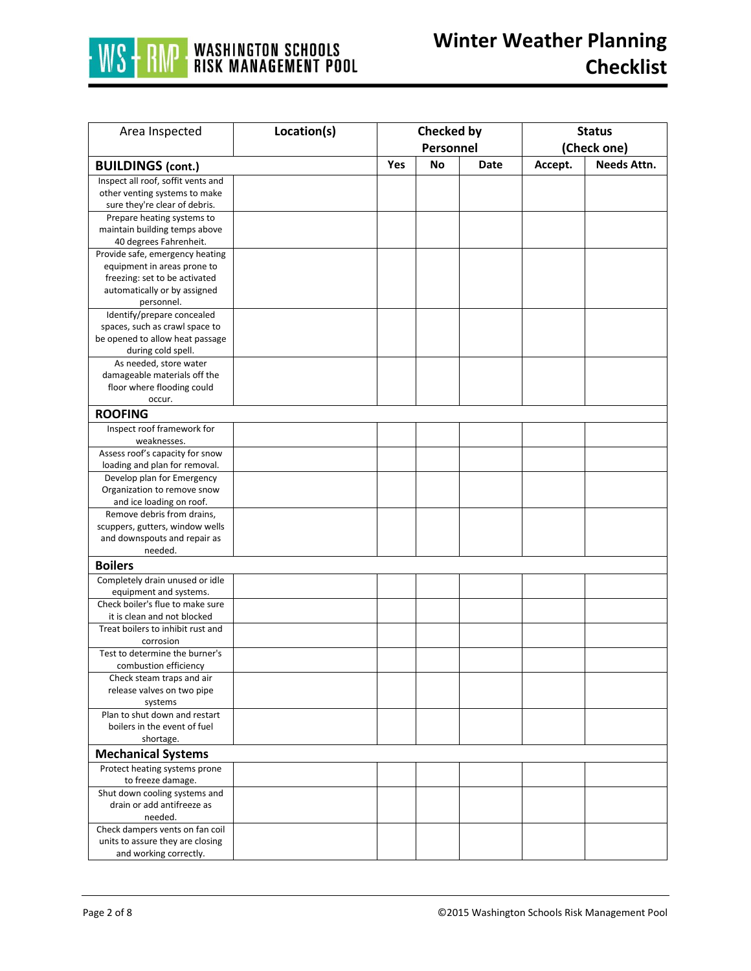

| Area Inspected                                               | Location(s) | <b>Checked by</b> |           |      | <b>Status</b> |             |
|--------------------------------------------------------------|-------------|-------------------|-----------|------|---------------|-------------|
|                                                              |             |                   | Personnel |      | (Check one)   |             |
| <b>BUILDINGS (cont.)</b>                                     |             | Yes               | No        | Date | Accept.       | Needs Attn. |
| Inspect all roof, soffit vents and                           |             |                   |           |      |               |             |
| other venting systems to make                                |             |                   |           |      |               |             |
| sure they're clear of debris.                                |             |                   |           |      |               |             |
| Prepare heating systems to                                   |             |                   |           |      |               |             |
| maintain building temps above                                |             |                   |           |      |               |             |
| 40 degrees Fahrenheit.                                       |             |                   |           |      |               |             |
| Provide safe, emergency heating                              |             |                   |           |      |               |             |
| equipment in areas prone to                                  |             |                   |           |      |               |             |
| freezing: set to be activated                                |             |                   |           |      |               |             |
| automatically or by assigned                                 |             |                   |           |      |               |             |
| personnel.                                                   |             |                   |           |      |               |             |
| Identify/prepare concealed<br>spaces, such as crawl space to |             |                   |           |      |               |             |
| be opened to allow heat passage                              |             |                   |           |      |               |             |
| during cold spell.                                           |             |                   |           |      |               |             |
| As needed, store water                                       |             |                   |           |      |               |             |
| damageable materials off the                                 |             |                   |           |      |               |             |
| floor where flooding could                                   |             |                   |           |      |               |             |
| occur.                                                       |             |                   |           |      |               |             |
| <b>ROOFING</b>                                               |             |                   |           |      |               |             |
| Inspect roof framework for                                   |             |                   |           |      |               |             |
| weaknesses.                                                  |             |                   |           |      |               |             |
| Assess roof's capacity for snow                              |             |                   |           |      |               |             |
| loading and plan for removal.                                |             |                   |           |      |               |             |
| Develop plan for Emergency                                   |             |                   |           |      |               |             |
| Organization to remove snow<br>and ice loading on roof.      |             |                   |           |      |               |             |
| Remove debris from drains,                                   |             |                   |           |      |               |             |
| scuppers, gutters, window wells                              |             |                   |           |      |               |             |
| and downspouts and repair as                                 |             |                   |           |      |               |             |
| needed.                                                      |             |                   |           |      |               |             |
| <b>Boilers</b>                                               |             |                   |           |      |               |             |
| Completely drain unused or idle                              |             |                   |           |      |               |             |
| equipment and systems.                                       |             |                   |           |      |               |             |
| Check boiler's flue to make sure                             |             |                   |           |      |               |             |
| it is clean and not blocked                                  |             |                   |           |      |               |             |
| Treat boilers to inhibit rust and<br>corrosion               |             |                   |           |      |               |             |
| Test to determine the burner's                               |             |                   |           |      |               |             |
| combustion efficiency                                        |             |                   |           |      |               |             |
| Check steam traps and air                                    |             |                   |           |      |               |             |
| release valves on two pipe                                   |             |                   |           |      |               |             |
| systems                                                      |             |                   |           |      |               |             |
| Plan to shut down and restart                                |             |                   |           |      |               |             |
| boilers in the event of fuel                                 |             |                   |           |      |               |             |
| shortage.                                                    |             |                   |           |      |               |             |
| <b>Mechanical Systems</b>                                    |             |                   |           |      |               |             |
| Protect heating systems prone<br>to freeze damage.           |             |                   |           |      |               |             |
| Shut down cooling systems and                                |             |                   |           |      |               |             |
| drain or add antifreeze as                                   |             |                   |           |      |               |             |
| needed.                                                      |             |                   |           |      |               |             |
| Check dampers vents on fan coil                              |             |                   |           |      |               |             |
| units to assure they are closing                             |             |                   |           |      |               |             |
| and working correctly.                                       |             |                   |           |      |               |             |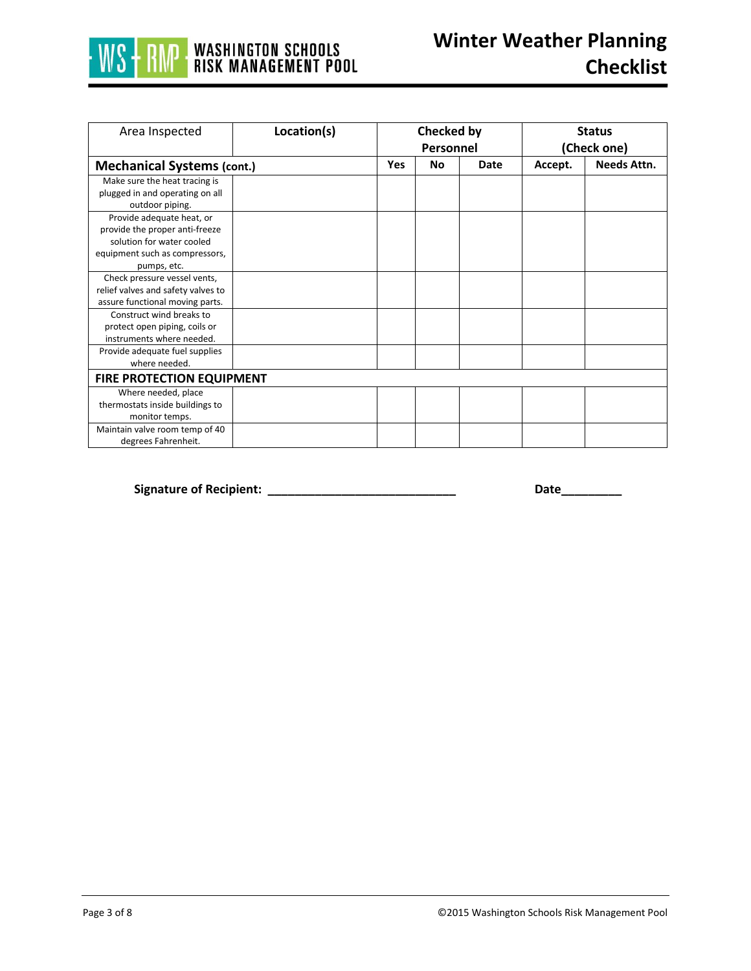

| Area Inspected                                                                                                             | Location(s)                      | <b>Checked by</b><br>Personnel |           |      | <b>Status</b><br>(Check one) |             |  |  |
|----------------------------------------------------------------------------------------------------------------------------|----------------------------------|--------------------------------|-----------|------|------------------------------|-------------|--|--|
| <b>Mechanical Systems (cont.)</b>                                                                                          |                                  | <b>Yes</b>                     | <b>No</b> | Date | Accept.                      | Needs Attn. |  |  |
| Make sure the heat tracing is<br>plugged in and operating on all<br>outdoor piping.                                        |                                  |                                |           |      |                              |             |  |  |
| Provide adequate heat, or<br>provide the proper anti-freeze<br>solution for water cooled<br>equipment such as compressors, |                                  |                                |           |      |                              |             |  |  |
| pumps, etc.<br>Check pressure vessel vents,<br>relief valves and safety valves to<br>assure functional moving parts.       |                                  |                                |           |      |                              |             |  |  |
| Construct wind breaks to<br>protect open piping, coils or<br>instruments where needed.                                     |                                  |                                |           |      |                              |             |  |  |
| Provide adequate fuel supplies<br>where needed.                                                                            |                                  |                                |           |      |                              |             |  |  |
|                                                                                                                            | <b>FIRE PROTECTION EQUIPMENT</b> |                                |           |      |                              |             |  |  |
| Where needed, place<br>thermostats inside buildings to<br>monitor temps.                                                   |                                  |                                |           |      |                              |             |  |  |
| Maintain valve room temp of 40<br>degrees Fahrenheit.                                                                      |                                  |                                |           |      |                              |             |  |  |

**Signature of Recipient: \_\_\_\_\_\_\_\_\_\_\_\_\_\_\_\_\_\_\_\_\_\_\_\_\_\_\_\_ Date\_\_\_\_\_\_\_\_\_**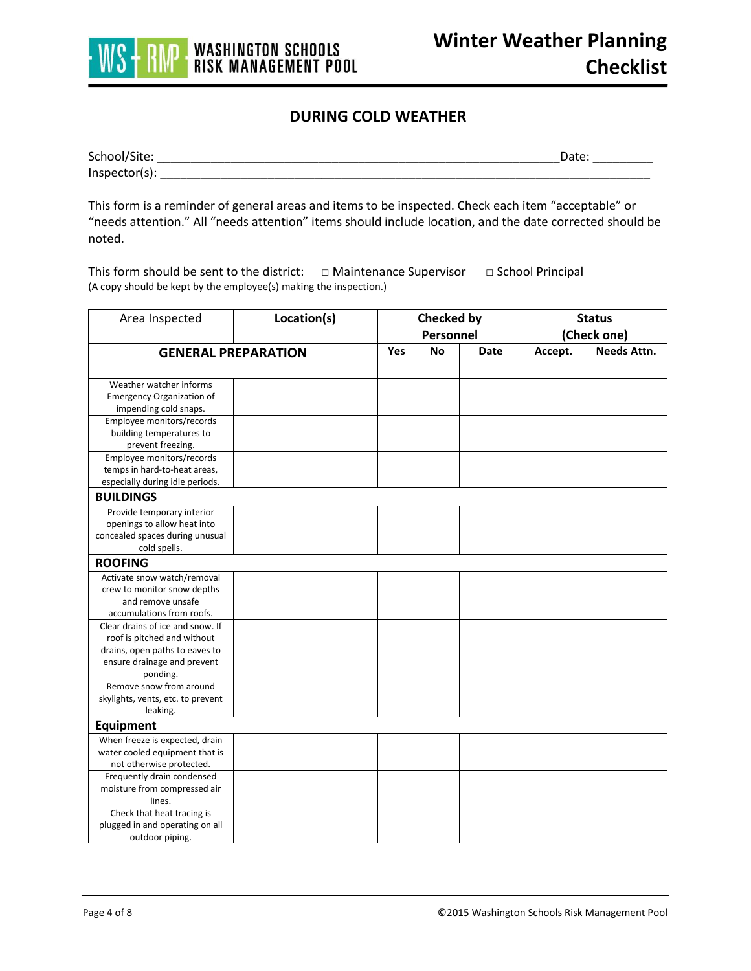

## **DURING COLD WEATHER**

| School/Site: |  |
|--------------|--|
| Inspecto     |  |

This form is a reminder of general areas and items to be inspected. Check each item "acceptable" or "needs attention." All "needs attention" items should include location, and the date corrected should be noted.

This form should be sent to the district: □ Maintenance Supervisor □ School Principal (A copy should be kept by the employee(s) making the inspection.)

| Area Inspected                    | Location(s) | <b>Checked by</b><br>Personnel |           |      | <b>Status</b><br>(Check one) |                    |  |
|-----------------------------------|-------------|--------------------------------|-----------|------|------------------------------|--------------------|--|
| <b>GENERAL PREPARATION</b>        |             | <b>Yes</b>                     | <b>No</b> | Date | Accept.                      | <b>Needs Attn.</b> |  |
|                                   |             |                                |           |      |                              |                    |  |
| Weather watcher informs           |             |                                |           |      |                              |                    |  |
| <b>Emergency Organization of</b>  |             |                                |           |      |                              |                    |  |
| impending cold snaps.             |             |                                |           |      |                              |                    |  |
| Employee monitors/records         |             |                                |           |      |                              |                    |  |
| building temperatures to          |             |                                |           |      |                              |                    |  |
| prevent freezing.                 |             |                                |           |      |                              |                    |  |
| Employee monitors/records         |             |                                |           |      |                              |                    |  |
| temps in hard-to-heat areas,      |             |                                |           |      |                              |                    |  |
| especially during idle periods.   |             |                                |           |      |                              |                    |  |
| <b>BUILDINGS</b>                  |             |                                |           |      |                              |                    |  |
| Provide temporary interior        |             |                                |           |      |                              |                    |  |
| openings to allow heat into       |             |                                |           |      |                              |                    |  |
| concealed spaces during unusual   |             |                                |           |      |                              |                    |  |
| cold spells.                      |             |                                |           |      |                              |                    |  |
| <b>ROOFING</b>                    |             |                                |           |      |                              |                    |  |
| Activate snow watch/removal       |             |                                |           |      |                              |                    |  |
| crew to monitor snow depths       |             |                                |           |      |                              |                    |  |
| and remove unsafe                 |             |                                |           |      |                              |                    |  |
| accumulations from roofs.         |             |                                |           |      |                              |                    |  |
| Clear drains of ice and snow. If  |             |                                |           |      |                              |                    |  |
| roof is pitched and without       |             |                                |           |      |                              |                    |  |
| drains, open paths to eaves to    |             |                                |           |      |                              |                    |  |
| ensure drainage and prevent       |             |                                |           |      |                              |                    |  |
| ponding.                          |             |                                |           |      |                              |                    |  |
| Remove snow from around           |             |                                |           |      |                              |                    |  |
| skylights, vents, etc. to prevent |             |                                |           |      |                              |                    |  |
| leaking.                          |             |                                |           |      |                              |                    |  |
| <b>Equipment</b>                  |             |                                |           |      |                              |                    |  |
| When freeze is expected, drain    |             |                                |           |      |                              |                    |  |
| water cooled equipment that is    |             |                                |           |      |                              |                    |  |
| not otherwise protected.          |             |                                |           |      |                              |                    |  |
| Frequently drain condensed        |             |                                |           |      |                              |                    |  |
| moisture from compressed air      |             |                                |           |      |                              |                    |  |
| lines.                            |             |                                |           |      |                              |                    |  |
| Check that heat tracing is        |             |                                |           |      |                              |                    |  |
| plugged in and operating on all   |             |                                |           |      |                              |                    |  |
| outdoor piping.                   |             |                                |           |      |                              |                    |  |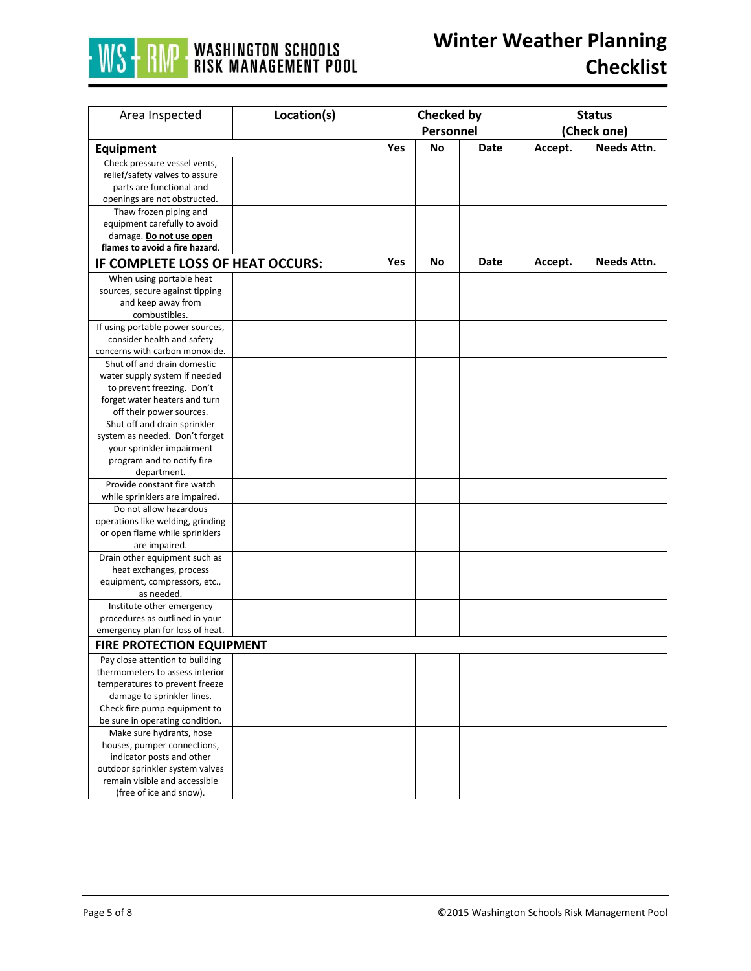

| Area Inspected                                                     | Location(s) | Checked by |    | <b>Status</b> |             |                    |
|--------------------------------------------------------------------|-------------|------------|----|---------------|-------------|--------------------|
|                                                                    |             | Personnel  |    |               | (Check one) |                    |
| <b>Equipment</b>                                                   |             | Yes        | No | Date          | Accept.     | <b>Needs Attn.</b> |
| Check pressure vessel vents,                                       |             |            |    |               |             |                    |
| relief/safety valves to assure                                     |             |            |    |               |             |                    |
| parts are functional and                                           |             |            |    |               |             |                    |
| openings are not obstructed.                                       |             |            |    |               |             |                    |
| Thaw frozen piping and                                             |             |            |    |               |             |                    |
| equipment carefully to avoid                                       |             |            |    |               |             |                    |
| damage. Do not use open                                            |             |            |    |               |             |                    |
| flames to avoid a fire hazard.                                     |             |            |    |               |             |                    |
| IF COMPLETE LOSS OF HEAT OCCURS:                                   |             | <b>Yes</b> | No | Date          | Accept.     | Needs Attn.        |
| When using portable heat                                           |             |            |    |               |             |                    |
| sources, secure against tipping                                    |             |            |    |               |             |                    |
| and keep away from                                                 |             |            |    |               |             |                    |
| combustibles.                                                      |             |            |    |               |             |                    |
| If using portable power sources,                                   |             |            |    |               |             |                    |
| consider health and safety                                         |             |            |    |               |             |                    |
| concerns with carbon monoxide.                                     |             |            |    |               |             |                    |
| Shut off and drain domestic                                        |             |            |    |               |             |                    |
| water supply system if needed                                      |             |            |    |               |             |                    |
| to prevent freezing. Don't                                         |             |            |    |               |             |                    |
| forget water heaters and turn                                      |             |            |    |               |             |                    |
| off their power sources.                                           |             |            |    |               |             |                    |
| Shut off and drain sprinkler                                       |             |            |    |               |             |                    |
| system as needed. Don't forget                                     |             |            |    |               |             |                    |
| your sprinkler impairment                                          |             |            |    |               |             |                    |
| program and to notify fire                                         |             |            |    |               |             |                    |
| department.                                                        |             |            |    |               |             |                    |
| Provide constant fire watch                                        |             |            |    |               |             |                    |
| while sprinklers are impaired.                                     |             |            |    |               |             |                    |
| Do not allow hazardous                                             |             |            |    |               |             |                    |
| operations like welding, grinding                                  |             |            |    |               |             |                    |
| or open flame while sprinklers                                     |             |            |    |               |             |                    |
| are impaired.                                                      |             |            |    |               |             |                    |
| Drain other equipment such as                                      |             |            |    |               |             |                    |
| heat exchanges, process                                            |             |            |    |               |             |                    |
| equipment, compressors, etc.,                                      |             |            |    |               |             |                    |
| as needed.                                                         |             |            |    |               |             |                    |
| Institute other emergency                                          |             |            |    |               |             |                    |
| procedures as outlined in your<br>emergency plan for loss of heat. |             |            |    |               |             |                    |
| <b>FIRE PROTECTION EQUIPMENT</b>                                   |             |            |    |               |             |                    |
|                                                                    |             |            |    |               |             |                    |
| Pay close attention to building                                    |             |            |    |               |             |                    |
| thermometers to assess interior                                    |             |            |    |               |             |                    |
| temperatures to prevent freeze                                     |             |            |    |               |             |                    |
| damage to sprinkler lines.                                         |             |            |    |               |             |                    |
| Check fire pump equipment to                                       |             |            |    |               |             |                    |
| be sure in operating condition.<br>Make sure hydrants, hose        |             |            |    |               |             |                    |
|                                                                    |             |            |    |               |             |                    |
| houses, pumper connections,                                        |             |            |    |               |             |                    |
| indicator posts and other<br>outdoor sprinkler system valves       |             |            |    |               |             |                    |
| remain visible and accessible                                      |             |            |    |               |             |                    |
| (free of ice and snow).                                            |             |            |    |               |             |                    |
|                                                                    |             |            |    |               |             |                    |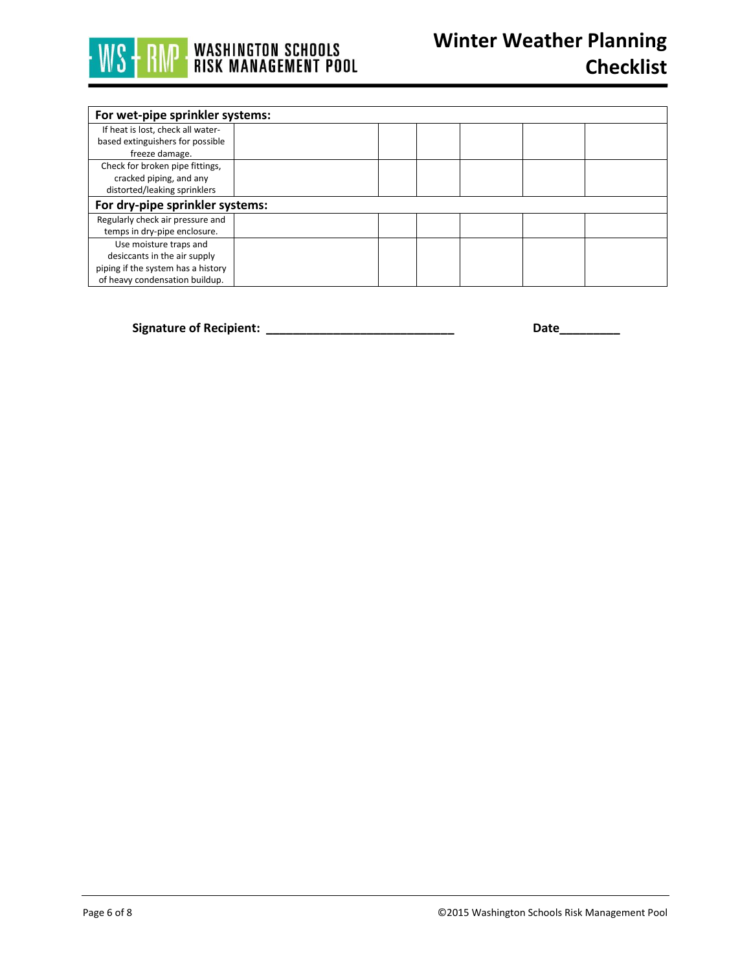

| For wet-pipe sprinkler systems:    |  |  |  |  |  |  |
|------------------------------------|--|--|--|--|--|--|
| If heat is lost, check all water-  |  |  |  |  |  |  |
| based extinguishers for possible   |  |  |  |  |  |  |
| freeze damage.                     |  |  |  |  |  |  |
| Check for broken pipe fittings,    |  |  |  |  |  |  |
| cracked piping, and any            |  |  |  |  |  |  |
| distorted/leaking sprinklers       |  |  |  |  |  |  |
| For dry-pipe sprinkler systems:    |  |  |  |  |  |  |
| Regularly check air pressure and   |  |  |  |  |  |  |
| temps in dry-pipe enclosure.       |  |  |  |  |  |  |
| Use moisture traps and             |  |  |  |  |  |  |
| desiccants in the air supply       |  |  |  |  |  |  |
| piping if the system has a history |  |  |  |  |  |  |
| of heavy condensation buildup.     |  |  |  |  |  |  |

**Signature of Recipient: \_\_\_\_\_\_\_\_\_\_\_\_\_\_\_\_\_\_\_\_\_\_\_\_\_\_\_\_ Date\_\_\_\_\_\_\_\_\_**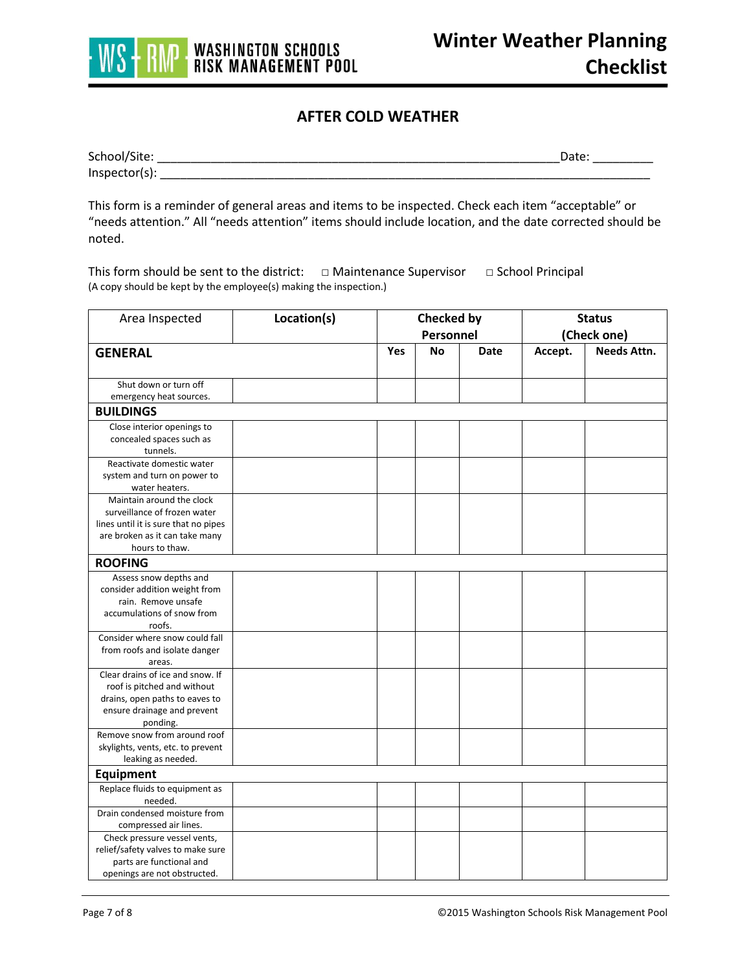

## **AFTER COLD WEATHER**

| School/Site:     | )ate |
|------------------|------|
| $Inspector(s)$ : |      |

This form is a reminder of general areas and items to be inspected. Check each item "acceptable" or "needs attention." All "needs attention" items should include location, and the date corrected should be noted.

This form should be sent to the district: □ Maintenance Supervisor □ School Principal (A copy should be kept by the employee(s) making the inspection.)

| Area Inspected                       | Location(s) | Checked by<br>Personnel |           |      | <b>Status</b><br>(Check one) |                    |
|--------------------------------------|-------------|-------------------------|-----------|------|------------------------------|--------------------|
| <b>GENERAL</b>                       |             | Yes                     | <b>No</b> | Date | Accept.                      | <b>Needs Attn.</b> |
|                                      |             |                         |           |      |                              |                    |
| Shut down or turn off                |             |                         |           |      |                              |                    |
| emergency heat sources.              |             |                         |           |      |                              |                    |
| <b>BUILDINGS</b>                     |             |                         |           |      |                              |                    |
| Close interior openings to           |             |                         |           |      |                              |                    |
| concealed spaces such as             |             |                         |           |      |                              |                    |
| tunnels.                             |             |                         |           |      |                              |                    |
| Reactivate domestic water            |             |                         |           |      |                              |                    |
| system and turn on power to          |             |                         |           |      |                              |                    |
| water heaters.                       |             |                         |           |      |                              |                    |
| Maintain around the clock            |             |                         |           |      |                              |                    |
| surveillance of frozen water         |             |                         |           |      |                              |                    |
| lines until it is sure that no pipes |             |                         |           |      |                              |                    |
| are broken as it can take many       |             |                         |           |      |                              |                    |
| hours to thaw.                       |             |                         |           |      |                              |                    |
| <b>ROOFING</b>                       |             |                         |           |      |                              |                    |
| Assess snow depths and               |             |                         |           |      |                              |                    |
| consider addition weight from        |             |                         |           |      |                              |                    |
| rain. Remove unsafe                  |             |                         |           |      |                              |                    |
| accumulations of snow from           |             |                         |           |      |                              |                    |
| roofs.                               |             |                         |           |      |                              |                    |
| Consider where snow could fall       |             |                         |           |      |                              |                    |
| from roofs and isolate danger        |             |                         |           |      |                              |                    |
| areas.                               |             |                         |           |      |                              |                    |
| Clear drains of ice and snow. If     |             |                         |           |      |                              |                    |
| roof is pitched and without          |             |                         |           |      |                              |                    |
| drains, open paths to eaves to       |             |                         |           |      |                              |                    |
| ensure drainage and prevent          |             |                         |           |      |                              |                    |
| ponding.                             |             |                         |           |      |                              |                    |
| Remove snow from around roof         |             |                         |           |      |                              |                    |
| skylights, vents, etc. to prevent    |             |                         |           |      |                              |                    |
| leaking as needed.                   |             |                         |           |      |                              |                    |
| <b>Equipment</b>                     |             |                         |           |      |                              |                    |
| Replace fluids to equipment as       |             |                         |           |      |                              |                    |
| needed.                              |             |                         |           |      |                              |                    |
| Drain condensed moisture from        |             |                         |           |      |                              |                    |
| compressed air lines.                |             |                         |           |      |                              |                    |
| Check pressure vessel vents,         |             |                         |           |      |                              |                    |
| relief/safety valves to make sure    |             |                         |           |      |                              |                    |
| parts are functional and             |             |                         |           |      |                              |                    |
| openings are not obstructed.         |             |                         |           |      |                              |                    |